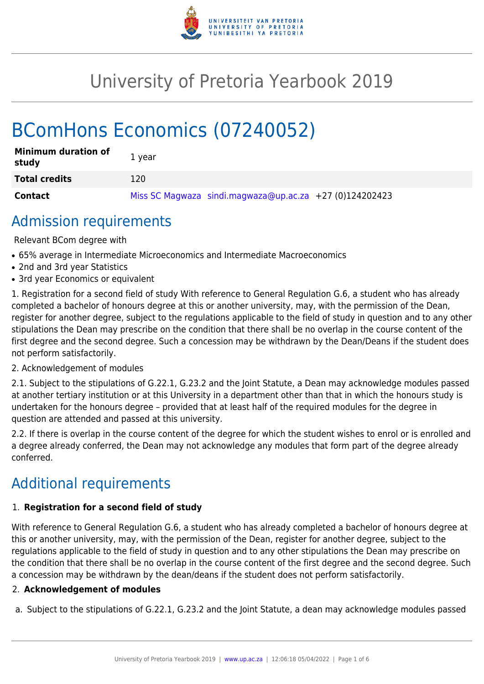

# University of Pretoria Yearbook 2019

# BComHons Economics (07240052)

| <b>Minimum duration of</b><br>study | 1 year                                                    |
|-------------------------------------|-----------------------------------------------------------|
| <b>Total credits</b>                | 120                                                       |
| <b>Contact</b>                      | Miss SC Magwaza sindi.magwaza@up.ac.za $+27$ (0)124202423 |

# Admission requirements

Relevant BCom degree with

- 65% average in Intermediate Microeconomics and Intermediate Macroeconomics
- 2nd and 3rd year Statistics
- 3rd year Economics or equivalent

1. Registration for a second field of study With reference to General Regulation G.6, a student who has already completed a bachelor of honours degree at this or another university, may, with the permission of the Dean, register for another degree, subject to the regulations applicable to the field of study in question and to any other stipulations the Dean may prescribe on the condition that there shall be no overlap in the course content of the first degree and the second degree. Such a concession may be withdrawn by the Dean/Deans if the student does not perform satisfactorily.

## 2. Acknowledgement of modules

2.1. Subject to the stipulations of G.22.1, G.23.2 and the Joint Statute, a Dean may acknowledge modules passed at another tertiary institution or at this University in a department other than that in which the honours study is undertaken for the honours degree – provided that at least half of the required modules for the degree in question are attended and passed at this university.

2.2. If there is overlap in the course content of the degree for which the student wishes to enrol or is enrolled and a degree already conferred, the Dean may not acknowledge any modules that form part of the degree already conferred.

# Additional requirements

# 1. **Registration for a second field of study**

With reference to General Regulation G.6, a student who has already completed a bachelor of honours degree at this or another university, may, with the permission of the Dean, register for another degree, subject to the regulations applicable to the field of study in question and to any other stipulations the Dean may prescribe on the condition that there shall be no overlap in the course content of the first degree and the second degree. Such a concession may be withdrawn by the dean/deans if the student does not perform satisfactorily.

# 2. **Acknowledgement of modules**

a. Subject to the stipulations of G.22.1, G.23.2 and the Joint Statute, a dean may acknowledge modules passed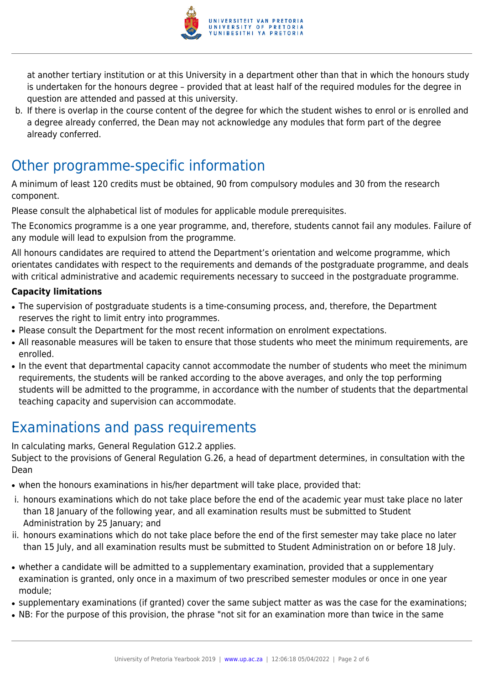

at another tertiary institution or at this University in a department other than that in which the honours study is undertaken for the honours degree – provided that at least half of the required modules for the degree in question are attended and passed at this university.

b. If there is overlap in the course content of the degree for which the student wishes to enrol or is enrolled and a degree already conferred, the Dean may not acknowledge any modules that form part of the degree already conferred.

# Other programme-specific information

A minimum of least 120 credits must be obtained, 90 from compulsory modules and 30 from the research component.

Please consult the alphabetical list of modules for applicable module prerequisites.

The Economics programme is a one year programme, and, therefore, students cannot fail any modules. Failure of any module will lead to expulsion from the programme.

All honours candidates are required to attend the Department's orientation and welcome programme, which orientates candidates with respect to the requirements and demands of the postgraduate programme, and deals with critical administrative and academic requirements necessary to succeed in the postgraduate programme.

# **Capacity limitations**

- The supervision of postgraduate students is a time-consuming process, and, therefore, the Department reserves the right to limit entry into programmes.
- Please consult the Department for the most recent information on enrolment expectations.
- All reasonable measures will be taken to ensure that those students who meet the minimum requirements, are enrolled.
- In the event that departmental capacity cannot accommodate the number of students who meet the minimum requirements, the students will be ranked according to the above averages, and only the top performing students will be admitted to the programme, in accordance with the number of students that the departmental teaching capacity and supervision can accommodate.

# Examinations and pass requirements

In calculating marks, General Regulation G12.2 applies. Subject to the provisions of General Regulation G.26, a head of department determines, in consultation with the Dean

- when the honours examinations in his/her department will take place, provided that:
- i. honours examinations which do not take place before the end of the academic year must take place no later than 18 January of the following year, and all examination results must be submitted to Student Administration by 25 January; and
- ii. honours examinations which do not take place before the end of the first semester may take place no later than 15 July, and all examination results must be submitted to Student Administration on or before 18 July.
- whether a candidate will be admitted to a supplementary examination, provided that a supplementary examination is granted, only once in a maximum of two prescribed semester modules or once in one year module;
- supplementary examinations (if granted) cover the same subject matter as was the case for the examinations;
- NB: For the purpose of this provision, the phrase "not sit for an examination more than twice in the same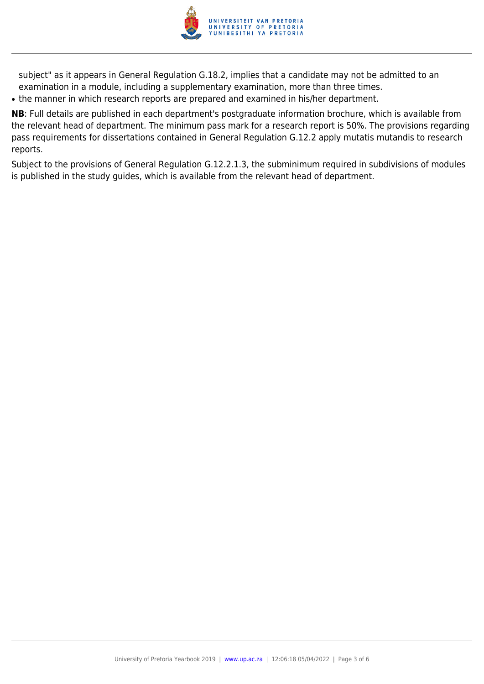

subject" as it appears in General Regulation G.18.2, implies that a candidate may not be admitted to an examination in a module, including a supplementary examination, more than three times.

• the manner in which research reports are prepared and examined in his/her department.

**NB**: Full details are published in each department's postgraduate information brochure, which is available from the relevant head of department. The minimum pass mark for a research report is 50%. The provisions regarding pass requirements for dissertations contained in General Regulation G.12.2 apply mutatis mutandis to research reports.

Subject to the provisions of General Regulation G.12.2.1.3, the subminimum required in subdivisions of modules is published in the study guides, which is available from the relevant head of department.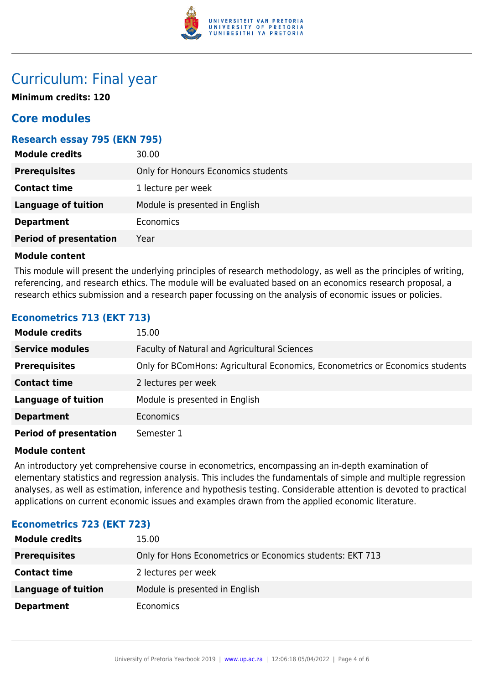

# Curriculum: Final year

**Minimum credits: 120**

# **Core modules**

# **Research essay 795 (EKN 795)**

| Only for Honours Economics students<br><b>Prerequisites</b><br><b>Contact time</b><br>1 lecture per week |
|----------------------------------------------------------------------------------------------------------|
|                                                                                                          |
|                                                                                                          |
| <b>Language of tuition</b><br>Module is presented in English                                             |
| Economics<br><b>Department</b>                                                                           |
| <b>Period of presentation</b><br>Year                                                                    |

## **Module content**

This module will present the underlying principles of research methodology, as well as the principles of writing, referencing, and research ethics. The module will be evaluated based on an economics research proposal, a research ethics submission and a research paper focussing on the analysis of economic issues or policies.

# **Econometrics 713 (EKT 713)**

| <b>Module credits</b>         | 15.00                                                                         |
|-------------------------------|-------------------------------------------------------------------------------|
| <b>Service modules</b>        | Faculty of Natural and Agricultural Sciences                                  |
| <b>Prerequisites</b>          | Only for BComHons: Agricultural Economics, Econometrics or Economics students |
| <b>Contact time</b>           | 2 lectures per week                                                           |
| <b>Language of tuition</b>    | Module is presented in English                                                |
| <b>Department</b>             | <b>Economics</b>                                                              |
| <b>Period of presentation</b> | Semester 1                                                                    |

## **Module content**

An introductory yet comprehensive course in econometrics, encompassing an in-depth examination of elementary statistics and regression analysis. This includes the fundamentals of simple and multiple regression analyses, as well as estimation, inference and hypothesis testing. Considerable attention is devoted to practical applications on current economic issues and examples drawn from the applied economic literature.

## **Econometrics 723 (EKT 723)**

| <b>Module credits</b> | 15.00                                                     |
|-----------------------|-----------------------------------------------------------|
| <b>Prerequisites</b>  | Only for Hons Econometrics or Economics students: EKT 713 |
| <b>Contact time</b>   | 2 lectures per week                                       |
| Language of tuition   | Module is presented in English                            |
| <b>Department</b>     | <b>Economics</b>                                          |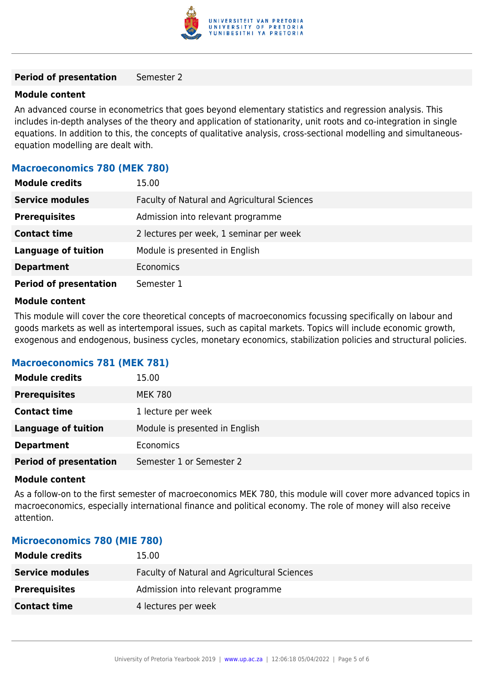

#### **Period of presentation** Semester 2

#### **Module content**

An advanced course in econometrics that goes beyond elementary statistics and regression analysis. This includes in-depth analyses of the theory and application of stationarity, unit roots and co-integration in single equations. In addition to this, the concepts of qualitative analysis, cross-sectional modelling and simultaneousequation modelling are dealt with.

### **Macroeconomics 780 (MEK 780)**

| <b>Module credits</b>         | 15.00                                        |
|-------------------------------|----------------------------------------------|
| <b>Service modules</b>        | Faculty of Natural and Agricultural Sciences |
| <b>Prerequisites</b>          | Admission into relevant programme            |
| <b>Contact time</b>           | 2 lectures per week, 1 seminar per week      |
| <b>Language of tuition</b>    | Module is presented in English               |
| <b>Department</b>             | Economics                                    |
| <b>Period of presentation</b> | Semester 1                                   |

#### **Module content**

This module will cover the core theoretical concepts of macroeconomics focussing specifically on labour and goods markets as well as intertemporal issues, such as capital markets. Topics will include economic growth, exogenous and endogenous, business cycles, monetary economics, stabilization policies and structural policies.

## **Macroeconomics 781 (MEK 781)**

| <b>Module credits</b>         | 15.00                          |
|-------------------------------|--------------------------------|
| <b>Prerequisites</b>          | <b>MEK 780</b>                 |
| <b>Contact time</b>           | 1 lecture per week             |
| <b>Language of tuition</b>    | Module is presented in English |
| <b>Department</b>             | Economics                      |
| <b>Period of presentation</b> | Semester 1 or Semester 2       |

#### **Module content**

As a follow-on to the first semester of macroeconomics MEK 780, this module will cover more advanced topics in macroeconomics, especially international finance and political economy. The role of money will also receive attention.

#### **Microeconomics 780 (MIE 780)**

| <b>Module credits</b>  | 15.00                                        |
|------------------------|----------------------------------------------|
| <b>Service modules</b> | Faculty of Natural and Agricultural Sciences |
| <b>Prerequisites</b>   | Admission into relevant programme            |
| <b>Contact time</b>    | 4 lectures per week                          |